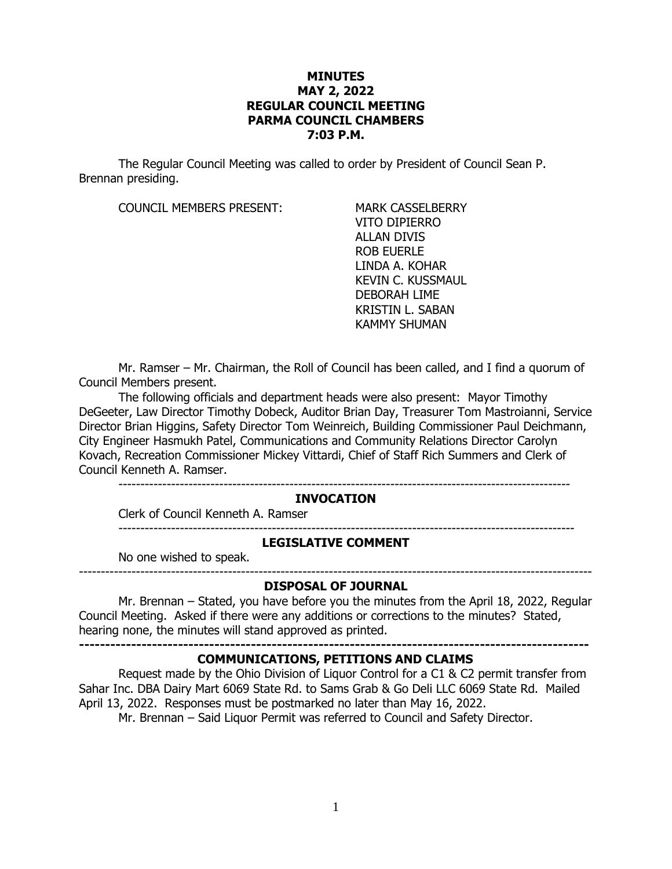# **MINUTES MAY 2, 2022 REGULAR COUNCIL MEETING PARMA COUNCIL CHAMBERS 7:03 P.M.**

The Regular Council Meeting was called to order by President of Council Sean P. Brennan presiding.

COUNCIL MEMBERS PRESENT: MARK CASSELBERRY

VITO DIPIERRO ALLAN DIVIS ROB EUERLE LINDA A. KOHAR KEVIN C. KUSSMAUL DEBORAH LIME KRISTIN L. SABAN KAMMY SHUMAN

Mr. Ramser – Mr. Chairman, the Roll of Council has been called, and I find a quorum of Council Members present.

The following officials and department heads were also present: Mayor Timothy DeGeeter, Law Director Timothy Dobeck, Auditor Brian Day, Treasurer Tom Mastroianni, Service Director Brian Higgins, Safety Director Tom Weinreich, Building Commissioner Paul Deichmann, City Engineer Hasmukh Patel, Communications and Community Relations Director Carolyn Kovach, Recreation Commissioner Mickey Vittardi, Chief of Staff Rich Summers and Clerk of Council Kenneth A. Ramser.

-------------------------------------------------------------------------------------------------------

#### **INVOCATION**

Clerk of Council Kenneth A. Ramser

#### **LEGISLATIVE COMMENT**

--------------------------------------------------------------------------------------------------------

No one wished to speak.

## --------------------------------------------------------------------------------------------------------------------- **DISPOSAL OF JOURNAL**

Mr. Brennan – Stated, you have before you the minutes from the April 18, 2022, Regular Council Meeting. Asked if there were any additions or corrections to the minutes? Stated, hearing none, the minutes will stand approved as printed.

**--------------------------------------------------------------------------------------------------**

## **COMMUNICATIONS, PETITIONS AND CLAIMS**

Request made by the Ohio Division of Liquor Control for a C1 & C2 permit transfer from Sahar Inc. DBA Dairy Mart 6069 State Rd. to Sams Grab & Go Deli LLC 6069 State Rd. Mailed April 13, 2022. Responses must be postmarked no later than May 16, 2022.

Mr. Brennan – Said Liquor Permit was referred to Council and Safety Director.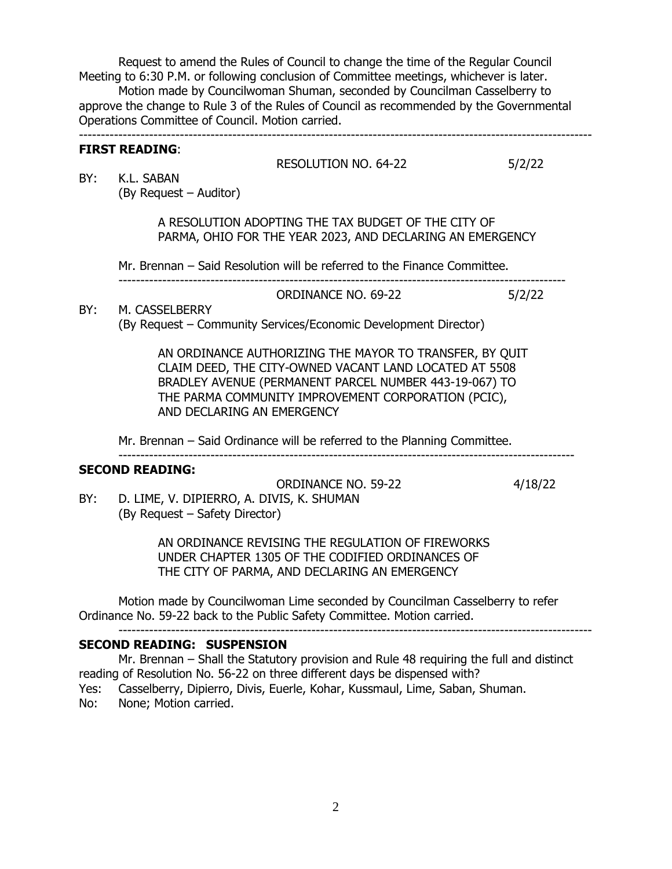Request to amend the Rules of Council to change the time of the Regular Council Meeting to 6:30 P.M. or following conclusion of Committee meetings, whichever is later.

Motion made by Councilwoman Shuman, seconded by Councilman Casselberry to approve the change to Rule 3 of the Rules of Council as recommended by the Governmental Operations Committee of Council. Motion carried. ---------------------------------------------------------------------------------------------------------------------

# **FIRST READING**:

|     |                                                                                                                  | <b>RESOLUTION NO. 64-22</b>                                                             |         |
|-----|------------------------------------------------------------------------------------------------------------------|-----------------------------------------------------------------------------------------|---------|
| BY: | K.L. SABAN                                                                                                       |                                                                                         | 5/2/22  |
|     | (By Request – Auditor)                                                                                           |                                                                                         |         |
|     |                                                                                                                  |                                                                                         |         |
|     | A RESOLUTION ADOPTING THE TAX BUDGET OF THE CITY OF                                                              |                                                                                         |         |
|     | PARMA, OHIO FOR THE YEAR 2023, AND DECLARING AN EMERGENCY                                                        |                                                                                         |         |
|     |                                                                                                                  |                                                                                         |         |
|     | Mr. Brennan - Said Resolution will be referred to the Finance Committee.                                         |                                                                                         |         |
|     |                                                                                                                  | ORDINANCE NO. 69-22                                                                     | 5/2/22  |
| BY: | M. CASSELBERRY                                                                                                   |                                                                                         |         |
|     | (By Request - Community Services/Economic Development Director)                                                  |                                                                                         |         |
|     |                                                                                                                  |                                                                                         |         |
|     | AN ORDINANCE AUTHORIZING THE MAYOR TO TRANSFER, BY QUIT                                                          |                                                                                         |         |
|     | CLAIM DEED, THE CITY-OWNED VACANT LAND LOCATED AT 5508<br>BRADLEY AVENUE (PERMANENT PARCEL NUMBER 443-19-067) TO |                                                                                         |         |
|     | THE PARMA COMMUNITY IMPROVEMENT CORPORATION (PCIC),                                                              |                                                                                         |         |
|     | AND DECLARING AN EMERGENCY                                                                                       |                                                                                         |         |
|     |                                                                                                                  |                                                                                         |         |
|     | Mr. Brennan – Said Ordinance will be referred to the Planning Committee.                                         |                                                                                         |         |
|     | <b>SECOND READING:</b>                                                                                           |                                                                                         |         |
|     |                                                                                                                  | <b>ORDINANCE NO. 59-22</b>                                                              | 4/18/22 |
| BY: | D. LIME, V. DIPIERRO, A. DIVIS, K. SHUMAN                                                                        |                                                                                         |         |
|     | (By Request - Safety Director)                                                                                   |                                                                                         |         |
|     |                                                                                                                  |                                                                                         |         |
|     | AN ORDINANCE REVISING THE REGULATION OF FIREWORKS                                                                |                                                                                         |         |
|     | UNDER CHAPTER 1305 OF THE CODIFIED ORDINANCES OF                                                                 |                                                                                         |         |
|     |                                                                                                                  | THE CITY OF PARMA, AND DECLARING AN EMERGENCY                                           |         |
|     | Motion made by Councilwoman Lime seconded by Councilman Casselberry to refer                                     |                                                                                         |         |
|     |                                                                                                                  | Ordinance No. 59-22 back to the Public Safety Committee. Motion carried.                |         |
|     |                                                                                                                  |                                                                                         |         |
|     | <b>SECOND READING: SUSPENSION</b>                                                                                |                                                                                         |         |
|     |                                                                                                                  | Mr. Brennan - Shall the Statutory provision and Rule 48 requiring the full and distinct |         |

reading of Resolution No. 56-22 on three different days be dispensed with? Yes: Casselberry, Dipierro, Divis, Euerle, Kohar, Kussmaul, Lime, Saban, Shuman. No: None; Motion carried.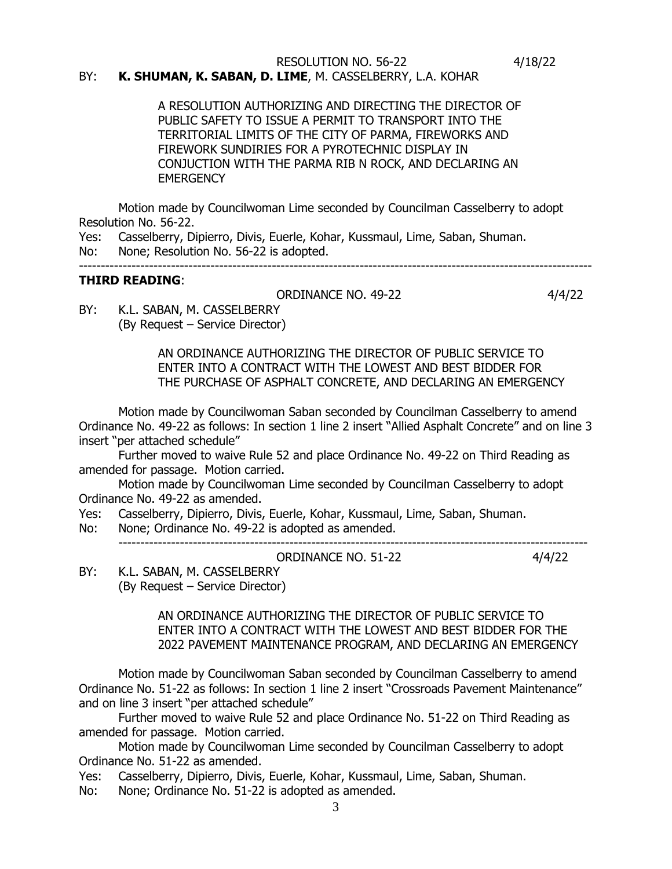## RESOLUTION NO. 56-22 4/18/22 BY: **K. SHUMAN, K. SABAN, D. LIME**, M. CASSELBERRY, L.A. KOHAR

A RESOLUTION AUTHORIZING AND DIRECTING THE DIRECTOR OF PUBLIC SAFETY TO ISSUE A PERMIT TO TRANSPORT INTO THE TERRITORIAL LIMITS OF THE CITY OF PARMA, FIREWORKS AND FIREWORK SUNDIRIES FOR A PYROTECHNIC DISPLAY IN CONJUCTION WITH THE PARMA RIB N ROCK, AND DECLARING AN **EMERGENCY** 

Motion made by Councilwoman Lime seconded by Councilman Casselberry to adopt Resolution No. 56-22.

Yes: Casselberry, Dipierro, Divis, Euerle, Kohar, Kussmaul, Lime, Saban, Shuman. No: None; Resolution No. 56-22 is adopted.

---------------------------------------------------------------------------------------------------------------------

# **THIRD READING**:

#### ORDINANCE NO. 49-22 4/4/22

BY: K.L. SABAN, M. CASSELBERRY (By Request – Service Director)

> AN ORDINANCE AUTHORIZING THE DIRECTOR OF PUBLIC SERVICE TO ENTER INTO A CONTRACT WITH THE LOWEST AND BEST BIDDER FOR THE PURCHASE OF ASPHALT CONCRETE, AND DECLARING AN EMERGENCY

Motion made by Councilwoman Saban seconded by Councilman Casselberry to amend Ordinance No. 49-22 as follows: In section 1 line 2 insert "Allied Asphalt Concrete" and on line 3 insert "per attached schedule"

Further moved to waive Rule 52 and place Ordinance No. 49-22 on Third Reading as amended for passage. Motion carried.

Motion made by Councilwoman Lime seconded by Councilman Casselberry to adopt Ordinance No. 49-22 as amended.

Yes: Casselberry, Dipierro, Divis, Euerle, Kohar, Kussmaul, Lime, Saban, Shuman.

-----------------------------------------------------------------------------------------------------------

No: None; Ordinance No. 49-22 is adopted as amended.

ORDINANCE NO. 51-22 4/4/22

BY: K.L. SABAN, M. CASSELBERRY (By Request – Service Director)

> AN ORDINANCE AUTHORIZING THE DIRECTOR OF PUBLIC SERVICE TO ENTER INTO A CONTRACT WITH THE LOWEST AND BEST BIDDER FOR THE 2022 PAVEMENT MAINTENANCE PROGRAM, AND DECLARING AN EMERGENCY

Motion made by Councilwoman Saban seconded by Councilman Casselberry to amend Ordinance No. 51-22 as follows: In section 1 line 2 insert "Crossroads Pavement Maintenance" and on line 3 insert "per attached schedule"

Further moved to waive Rule 52 and place Ordinance No. 51-22 on Third Reading as amended for passage. Motion carried.

Motion made by Councilwoman Lime seconded by Councilman Casselberry to adopt Ordinance No. 51-22 as amended.

Yes: Casselberry, Dipierro, Divis, Euerle, Kohar, Kussmaul, Lime, Saban, Shuman.

No: None; Ordinance No. 51-22 is adopted as amended.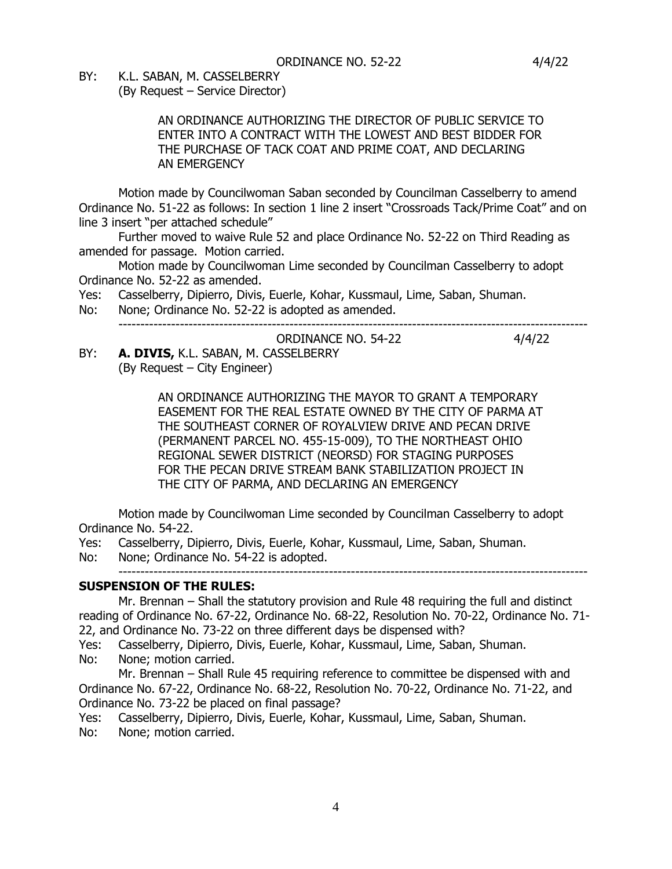BY: K.L. SABAN, M. CASSELBERRY

(By Request – Service Director)

# AN ORDINANCE AUTHORIZING THE DIRECTOR OF PUBLIC SERVICE TO ENTER INTO A CONTRACT WITH THE LOWEST AND BEST BIDDER FOR THE PURCHASE OF TACK COAT AND PRIME COAT, AND DECLARING AN EMERGENCY

Motion made by Councilwoman Saban seconded by Councilman Casselberry to amend Ordinance No. 51-22 as follows: In section 1 line 2 insert "Crossroads Tack/Prime Coat" and on line 3 insert "per attached schedule"

Further moved to waive Rule 52 and place Ordinance No. 52-22 on Third Reading as amended for passage. Motion carried.

Motion made by Councilwoman Lime seconded by Councilman Casselberry to adopt Ordinance No. 52-22 as amended.

Yes: Casselberry, Dipierro, Divis, Euerle, Kohar, Kussmaul, Lime, Saban, Shuman.

No: None; Ordinance No. 52-22 is adopted as amended. -----------------------------------------------------------------------------------------------------------

ORDINANCE NO. 54-22 4/4/22

BY: **A. DIVIS,** K.L. SABAN, M. CASSELBERRY

(By Request – City Engineer)

AN ORDINANCE AUTHORIZING THE MAYOR TO GRANT A TEMPORARY EASEMENT FOR THE REAL ESTATE OWNED BY THE CITY OF PARMA AT THE SOUTHEAST CORNER OF ROYALVIEW DRIVE AND PECAN DRIVE (PERMANENT PARCEL NO. 455-15-009), TO THE NORTHEAST OHIO REGIONAL SEWER DISTRICT (NEORSD) FOR STAGING PURPOSES FOR THE PECAN DRIVE STREAM BANK STABILIZATION PROJECT IN THE CITY OF PARMA, AND DECLARING AN EMERGENCY

Motion made by Councilwoman Lime seconded by Councilman Casselberry to adopt Ordinance No. 54-22.

Yes: Casselberry, Dipierro, Divis, Euerle, Kohar, Kussmaul, Lime, Saban, Shuman.

No: None; Ordinance No. 54-22 is adopted.

#### ----------------------------------------------------------------------------------------------------------- **SUSPENSION OF THE RULES:**

Mr. Brennan – Shall the statutory provision and Rule 48 requiring the full and distinct reading of Ordinance No. 67-22, Ordinance No. 68-22, Resolution No. 70-22, Ordinance No. 71- 22, and Ordinance No. 73-22 on three different days be dispensed with?

Yes: Casselberry, Dipierro, Divis, Euerle, Kohar, Kussmaul, Lime, Saban, Shuman.

No: None; motion carried.

Mr. Brennan – Shall Rule 45 requiring reference to committee be dispensed with and Ordinance No. 67-22, Ordinance No. 68-22, Resolution No. 70-22, Ordinance No. 71-22, and Ordinance No. 73-22 be placed on final passage?

Yes: Casselberry, Dipierro, Divis, Euerle, Kohar, Kussmaul, Lime, Saban, Shuman.

No: None; motion carried.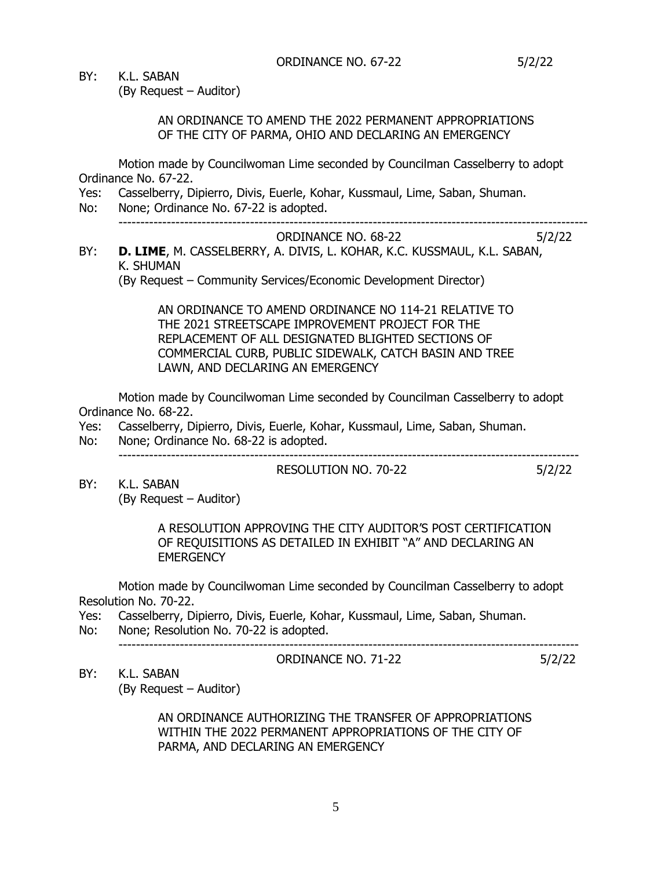BY: K.L. SABAN

(By Request – Auditor)

AN ORDINANCE TO AMEND THE 2022 PERMANENT APPROPRIATIONS OF THE CITY OF PARMA, OHIO AND DECLARING AN EMERGENCY

Motion made by Councilwoman Lime seconded by Councilman Casselberry to adopt Ordinance No. 67-22.

- Yes: Casselberry, Dipierro, Divis, Euerle, Kohar, Kussmaul, Lime, Saban, Shuman.
- No: None; Ordinance No. 67-22 is adopted. -----------------------------------------------------------------------------------------------------------

ORDINANCE NO. 68-22 5/2/22

BY: **D. LIME**, M. CASSELBERRY, A. DIVIS, L. KOHAR, K.C. KUSSMAUL, K.L. SABAN, K. SHUMAN

(By Request – Community Services/Economic Development Director)

AN ORDINANCE TO AMEND ORDINANCE NO 114-21 RELATIVE TO THE 2021 STREETSCAPE IMPROVEMENT PROJECT FOR THE REPLACEMENT OF ALL DESIGNATED BLIGHTED SECTIONS OF COMMERCIAL CURB, PUBLIC SIDEWALK, CATCH BASIN AND TREE LAWN, AND DECLARING AN EMERGENCY

Motion made by Councilwoman Lime seconded by Councilman Casselberry to adopt Ordinance No. 68-22.

- Yes: Casselberry, Dipierro, Divis, Euerle, Kohar, Kussmaul, Lime, Saban, Shuman.
- No: None; Ordinance No. 68-22 is adopted. ---------------------------------------------------------------------------------------------------------

RESOLUTION NO. 70-22 5/2/22

ORDINANCE NO. 71-22 5/2/22

BY: K.L. SABAN (By Request – Auditor)

> A RESOLUTION APPROVING THE CITY AUDITOR'S POST CERTIFICATION OF REQUISITIONS AS DETAILED IN EXHIBIT "A" AND DECLARING AN **EMERGENCY**

Motion made by Councilwoman Lime seconded by Councilman Casselberry to adopt Resolution No. 70-22.

- Yes: Casselberry, Dipierro, Divis, Euerle, Kohar, Kussmaul, Lime, Saban, Shuman. No: None; Resolution No. 70-22 is adopted.
- 

---------------------------------------------------------------------------------------------------------

BY: K.L. SABAN

(By Request – Auditor)

AN ORDINANCE AUTHORIZING THE TRANSFER OF APPROPRIATIONS WITHIN THE 2022 PERMANENT APPROPRIATIONS OF THE CITY OF PARMA, AND DECLARING AN EMERGENCY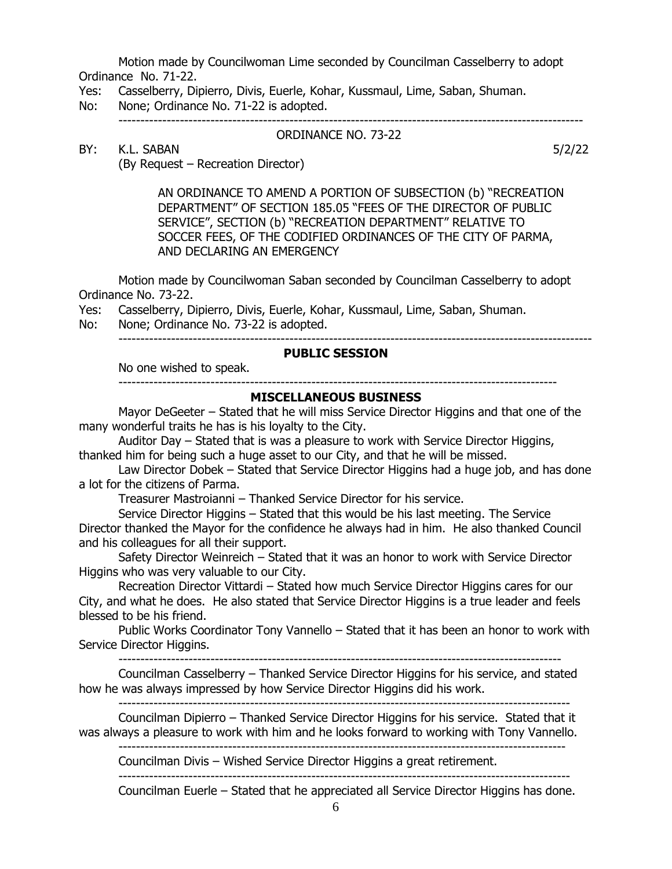Motion made by Councilwoman Lime seconded by Councilman Casselberry to adopt Ordinance No. 71-22.

- Yes: Casselberry, Dipierro, Divis, Euerle, Kohar, Kussmaul, Lime, Saban, Shuman.
- No: None; Ordinance No. 71-22 is adopted.

----------------------------------------------------------------------------------------------------------

# BY: K.L. SABAN 5/2/22

ORDINANCE NO. 73-22

(By Request – Recreation Director)

AN ORDINANCE TO AMEND A PORTION OF SUBSECTION (b) "RECREATION DEPARTMENT" OF SECTION 185.05 "FEES OF THE DIRECTOR OF PUBLIC SERVICE", SECTION (b) "RECREATION DEPARTMENT" RELATIVE TO SOCCER FEES, OF THE CODIFIED ORDINANCES OF THE CITY OF PARMA, AND DECLARING AN EMERGENCY

Motion made by Councilwoman Saban seconded by Councilman Casselberry to adopt Ordinance No. 73-22.

Yes: Casselberry, Dipierro, Divis, Euerle, Kohar, Kussmaul, Lime, Saban, Shuman.

No: None; Ordinance No. 73-22 is adopted.

------------------------------------------------------------------------------------------------------------

# **PUBLIC SESSION**

No one wished to speak. ----------------------------------------------------------------------------------------------------

# **MISCELLANEOUS BUSINESS**

Mayor DeGeeter – Stated that he will miss Service Director Higgins and that one of the many wonderful traits he has is his loyalty to the City.

Auditor Day – Stated that is was a pleasure to work with Service Director Higgins, thanked him for being such a huge asset to our City, and that he will be missed.

Law Director Dobek – Stated that Service Director Higgins had a huge job, and has done a lot for the citizens of Parma.

Treasurer Mastroianni – Thanked Service Director for his service.

Service Director Higgins – Stated that this would be his last meeting. The Service Director thanked the Mayor for the confidence he always had in him. He also thanked Council and his colleagues for all their support.

Safety Director Weinreich – Stated that it was an honor to work with Service Director Higgins who was very valuable to our City.

Recreation Director Vittardi – Stated how much Service Director Higgins cares for our City, and what he does. He also stated that Service Director Higgins is a true leader and feels blessed to be his friend.

Public Works Coordinator Tony Vannello – Stated that it has been an honor to work with Service Director Higgins.

-----------------------------------------------------------------------------------------------------

Councilman Casselberry – Thanked Service Director Higgins for his service, and stated how he was always impressed by how Service Director Higgins did his work. -------------------------------------------------------------------------------------------------------

Councilman Dipierro – Thanked Service Director Higgins for his service. Stated that it was always a pleasure to work with him and he looks forward to working with Tony Vannello.

------------------------------------------------------------------------------------------------------

Councilman Divis – Wished Service Director Higgins a great retirement. -------------------------------------------------------------------------------------------------------

Councilman Euerle – Stated that he appreciated all Service Director Higgins has done.